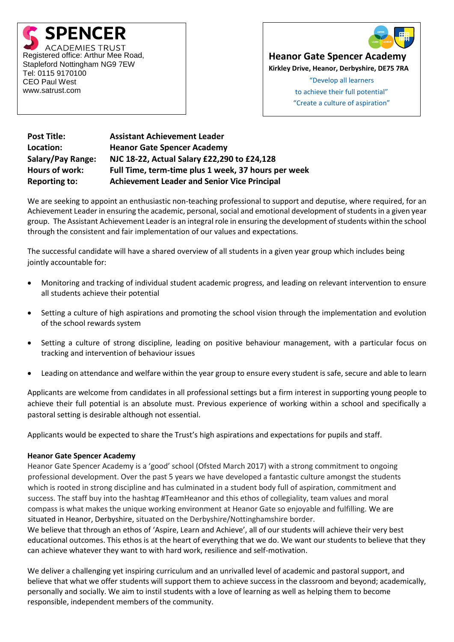



**Heanor Gate Spencer Academy**

**Kirkley Drive, Heanor, Derbyshire, DE75 7RA**

"Develop all learners to achieve their full potential" "Create a culture of aspiration"

**Post Title: Assistant Achievement Leader Location: Heanor Gate Spencer Academy Salary/Pay Range: NJC 18-22, Actual Salary £22,290 to £24,128 Hours of work: Full Time, term-time plus 1 week, 37 hours per week Reporting to: Achievement Leader and Senior Vice Principal**

We are seeking to appoint an enthusiastic non-teaching professional to support and deputise, where required, for an Achievement Leader in ensuring the academic, personal, social and emotional development of students in a given year group. The Assistant Achievement Leader is an integral role in ensuring the development of students within the school through the consistent and fair implementation of our values and expectations.

The successful candidate will have a shared overview of all students in a given year group which includes being jointly accountable for:

- Monitoring and tracking of individual student academic progress, and leading on relevant intervention to ensure all students achieve their potential
- Setting a culture of high aspirations and promoting the school vision through the implementation and evolution of the school rewards system
- Setting a culture of strong discipline, leading on positive behaviour management, with a particular focus on tracking and intervention of behaviour issues
- Leading on attendance and welfare within the year group to ensure every student is safe, secure and able to learn

Applicants are welcome from candidates in all professional settings but a firm interest in supporting young people to achieve their full potential is an absolute must. Previous experience of working within a school and specifically a pastoral setting is desirable although not essential.

Applicants would be expected to share the Trust's high aspirations and expectations for pupils and staff.

## **Heanor Gate Spencer Academy**

Heanor Gate Spencer Academy is a 'good' school (Ofsted March 2017) with a strong commitment to ongoing professional development. Over the past 5 years we have developed a fantastic culture amongst the students which is rooted in strong discipline and has culminated in a student body full of aspiration, commitment and success. The staff buy into the hashtag #TeamHeanor and this ethos of collegiality, team values and moral compass is what makes the unique working environment at Heanor Gate so enjoyable and fulfilling. We are situated in Heanor, Derbyshire, situated on the Derbyshire/Nottinghamshire border.

We believe that through an ethos of 'Aspire, Learn and Achieve', all of our students will achieve their very best educational outcomes. This ethos is at the heart of everything that we do. We want our students to believe that they can achieve whatever they want to with hard work, resilience and self-motivation.

We deliver a challenging yet inspiring curriculum and an unrivalled level of academic and pastoral support, and believe that what we offer students will support them to achieve success in the classroom and beyond; academically, personally and socially. We aim to instil students with a love of learning as well as helping them to become responsible, independent members of the community.